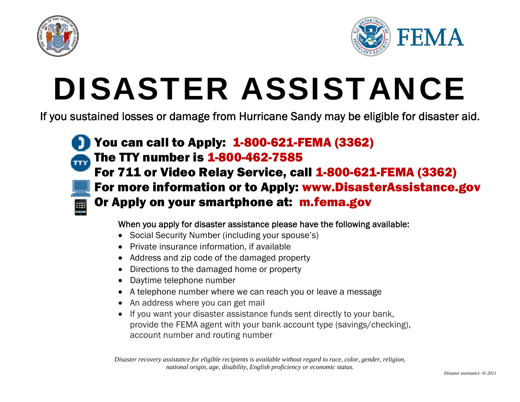



# DISASTER ASSISTANCE

If you sustained losses or damage from Hurricane Sandy may be eligible for disaster aid.



#### When you apply for disaster assistance please have the following available:

- Social Security Number (including your spouse's)
- Private insurance information, if available
- Address and zip code of the damaged property
- Directions to the damaged home or property
- Daytime telephone number
- A telephone number where we can reach you or leave a message
- An address where you can get mail
- If you want your disaster assistance funds sent directly to your bank, provide the FEMA agent with your bank account type (savings/checking), account number and routing number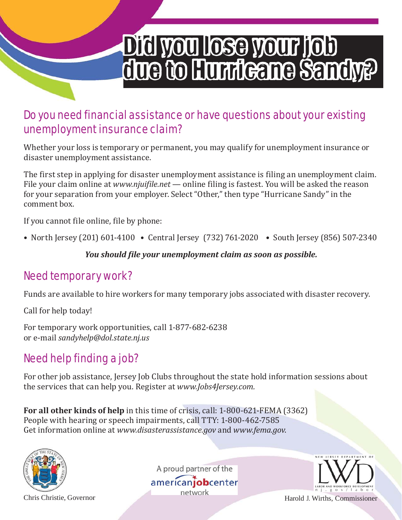## Did you lose your job due to Hurricane Sandy?

## Do you need financial assistance or have questions about your existing unemployment insurance claim?

Whether your loss is temporary or permanent, you may qualify for unemployment insurance or disaster unemployment assistance.

The first step in applying for disaster unemployment assistance is filing an unemployment claim. File your claim online at *www.njuifile.net* — online filing is fastest. You will be asked the reason for your separation from your employer. Select "Other," then type "Hurricane Sandy" in the comment box.

If you cannot file online, file by phone:

• North Jersey (201) 601-4100 • Central Jersey (732) 761-2020 • South Jersey (856) 507-2340

*You should file your unemployment claim as soon as possible.*

## Need temporary work?

Funds are available to hire workers for many temporary jobs associated with disaster recovery.

Call for help today!

For temporary work opportunities, call 1‐877‐682‐6238 or e‐mail *sandyhelp@dol.state.nj.us*

## Need help finding a job?

For other job assistance, Jersey Job Clubs throughout the state hold information sessions about the services that can help you. Register at *www.Jobs4Jersey.com.*

**For all other kinds of help** in this time of crisis, call: 1‐800‐621‐FEMA (3362) People with hearing or speech impairments, call TTY: 1‐800‐462‐7585 Get information online at *www.disasterassistance.gov* and *www.fema.gov*.



A proud partner of the americanjobcenter



Chris Christie, Governor **Harold J. Wirths, Commissioner**